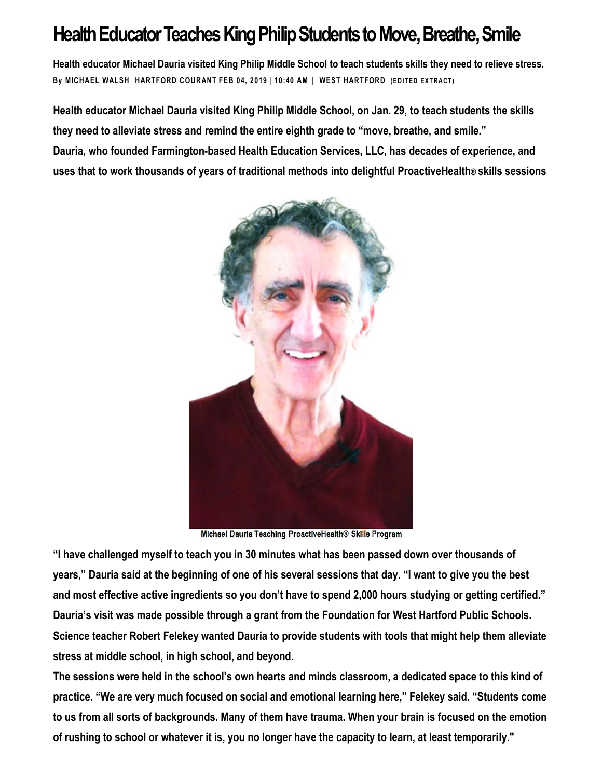## **Health Educator Teaches King Philip Students to Move, Breathe, Smile**

**Health educator Michael Dauria visited King Philip Middle School to teach students skills they need to relieve stress. By [MICHAEL WALSH](https://www.courant.com/hc-michael-walsh-staff.html#nt=byline) HARTFORD COURANT FEB 04, 2019 | 10:40 AM | WEST HARTFORD (ED IT ED EXT R A CT)**

**Health educator Michael Dauria visited King Philip Middle School, on Jan. 29, to teach students the skills they need to alleviate stress and remind the entire eighth grade to "move, breathe, and smile." Dauria, who founded Farmington-based Health Education Services, LLC, has decades of experience, and uses that to work thousands of years of traditional methods into delightful ProactiveHealth® skills sessions**



Michael Dauria Teaching ProactiveHealth® Skills Program

**"I have challenged myself to teach you in 30 minutes what has been passed down over thousands of years," Dauria said at the beginning of one of his several sessions that day. "I want to give you the best and most effective active ingredients so you don't have to spend 2,000 hours studying or getting certified." Dauria's visit was made possible through a grant from the Foundation for West Hartford Public Schools. Science teacher Robert Felekey wanted Dauria to provide students with tools that might help them alleviate stress at middle school, in high school, and beyond.**

**The sessions were held in the school's own hearts and minds classroom, a dedicated space to this kind of practice. "We are very much focused on social and emotional learning here," Felekey said. "Students come to us from all sorts of backgrounds. Many of them have trauma. When your brain is focused on the emotion of rushing to school or whatever it is, you no longer have the capacity to learn, at least temporarily."**